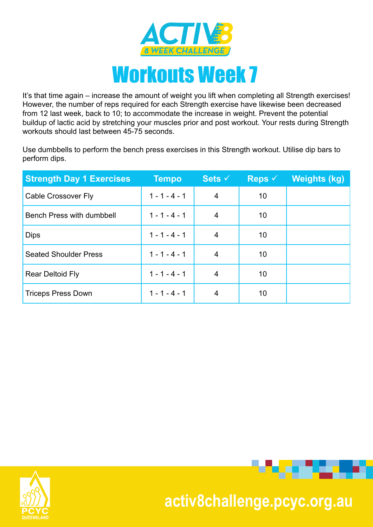

It's that time again – increase the amount of weight you lift when completing all Strength exercises! However, the number of reps required for each Strength exercise have likewise been decreased from 12 last week, back to 10; to accommodate the increase in weight. Prevent the potential buildup of lactic acid by stretching your muscles prior and post workout. Your rests during Strength workouts should last between 45-75 seconds.

Use dumbbells to perform the bench press exercises in this Strength workout. Utilise dip bars to perform dips.

| <b>Strength Day 1 Exercises</b>  | <b>Tempo</b>    | Sets $\checkmark$ | Reps $\checkmark$ | Weights (kg) |
|----------------------------------|-----------------|-------------------|-------------------|--------------|
| <b>Cable Crossover Fly</b>       | $1 - 1 - 4 - 1$ | 4                 | 10                |              |
| <b>Bench Press with dumbbell</b> | $1 - 1 - 4 - 1$ | 4                 | 10                |              |
| <b>Dips</b>                      | $1 - 1 - 4 - 1$ | 4                 | 10                |              |
| <b>Seated Shoulder Press</b>     | $1 - 1 - 4 - 1$ | 4                 | 10                |              |
| <b>Rear Deltoid Fly</b>          | $1 - 1 - 4 - 1$ | 4                 | 10                |              |
| <b>Triceps Press Down</b>        | $1 - 1 - 4 - 1$ | 4                 | 10                |              |





. . . . .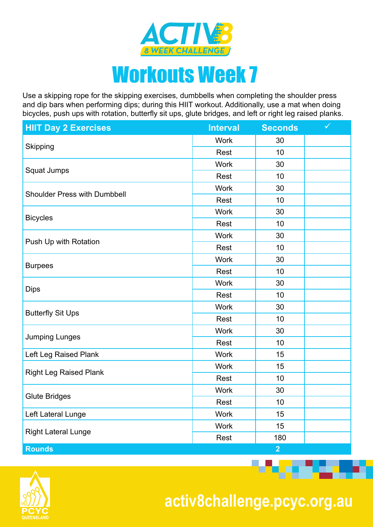

## Workouts Week 7

Use a skipping rope for the skipping exercises, dumbbells when completing the shoulder press and dip bars when performing dips; during this HIIT workout. Additionally, use a mat when doing bicycles, push ups with rotation, butterfly sit ups, glute bridges, and left or right leg raised planks.

| <b>HIIT Day 2 Exercises</b>         | <b>Interval</b>                                                                                                                                                                                                                                                                                     | <b>Seconds</b> | $\checkmark$ |
|-------------------------------------|-----------------------------------------------------------------------------------------------------------------------------------------------------------------------------------------------------------------------------------------------------------------------------------------------------|----------------|--------------|
|                                     | <b>Work</b>                                                                                                                                                                                                                                                                                         | 30             |              |
| Skipping                            | Rest<br><b>Work</b><br>Rest<br><b>Work</b><br>30<br>Rest<br>30<br><b>Work</b><br>Rest<br><b>Work</b><br>Rest<br><b>Work</b><br>Rest<br>10<br>30<br><b>Work</b><br>Rest<br><b>Work</b><br>Rest<br><b>Work</b><br>Rest<br>10<br><b>Work</b><br>15<br><b>Work</b><br>Rest<br><b>Work</b><br>30<br>Rest | 10             |              |
| Squat Jumps                         |                                                                                                                                                                                                                                                                                                     | 30             |              |
|                                     |                                                                                                                                                                                                                                                                                                     | 10             |              |
| <b>Shoulder Press with Dumbbell</b> |                                                                                                                                                                                                                                                                                                     |                |              |
|                                     | <b>Work</b><br>Work<br>Rest                                                                                                                                                                                                                                                                         | 10             |              |
|                                     |                                                                                                                                                                                                                                                                                                     |                |              |
| <b>Bicycles</b>                     |                                                                                                                                                                                                                                                                                                     | 10             |              |
|                                     |                                                                                                                                                                                                                                                                                                     | 30             |              |
| Push Up with Rotation               |                                                                                                                                                                                                                                                                                                     | 10             |              |
| <b>Burpees</b>                      |                                                                                                                                                                                                                                                                                                     | 30             |              |
|                                     |                                                                                                                                                                                                                                                                                                     |                |              |
|                                     |                                                                                                                                                                                                                                                                                                     |                |              |
| <b>Dips</b>                         |                                                                                                                                                                                                                                                                                                     | 10             |              |
|                                     |                                                                                                                                                                                                                                                                                                     | 30             |              |
| <b>Butterfly Sit Ups</b>            |                                                                                                                                                                                                                                                                                                     | 10             |              |
|                                     |                                                                                                                                                                                                                                                                                                     | 30             |              |
| <b>Jumping Lunges</b>               |                                                                                                                                                                                                                                                                                                     |                |              |
| Left Leg Raised Plank               |                                                                                                                                                                                                                                                                                                     | 15             |              |
|                                     |                                                                                                                                                                                                                                                                                                     |                |              |
| <b>Right Leg Raised Plank</b>       |                                                                                                                                                                                                                                                                                                     | 10             |              |
|                                     |                                                                                                                                                                                                                                                                                                     |                |              |
| <b>Glute Bridges</b>                |                                                                                                                                                                                                                                                                                                     | 10             |              |
| Left Lateral Lunge                  |                                                                                                                                                                                                                                                                                                     | 15             |              |
|                                     |                                                                                                                                                                                                                                                                                                     | 15             |              |
| <b>Right Lateral Lunge</b>          |                                                                                                                                                                                                                                                                                                     | 180            |              |
| <b>Rounds</b>                       |                                                                                                                                                                                                                                                                                                     | $\overline{2}$ |              |



 **activ8challenge.pcyc.org.au**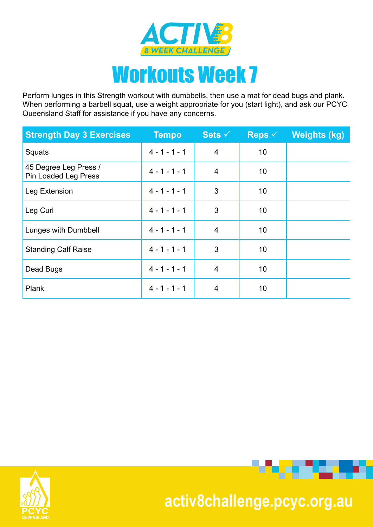

Perform lunges in this Strength workout with dumbbells, then use a mat for dead bugs and plank. When performing a barbell squat, use a weight appropriate for you (start light), and ask our PCYC Queensland Staff for assistance if you have any concerns.

| <b>Strength Day 3 Exercises</b>               | <b>Tempo</b>    | Sets $\overline{\vee}$ | Reps $\checkmark$ | <b>Weights (kg)</b> |
|-----------------------------------------------|-----------------|------------------------|-------------------|---------------------|
| Squats                                        | $4 - 1 - 1 - 1$ | $\overline{4}$         | 10                |                     |
| 45 Degree Leg Press /<br>Pin Loaded Leg Press | $4 - 1 - 1 - 1$ | 4                      | 10                |                     |
| Leg Extension                                 | $4 - 1 - 1 - 1$ | 3                      | 10                |                     |
| Leg Curl                                      | $4 - 1 - 1 - 1$ | 3                      | 10                |                     |
| Lunges with Dumbbell                          | $4 - 1 - 1 - 1$ | $\overline{4}$         | 10                |                     |
| <b>Standing Calf Raise</b>                    | $4 - 1 - 1 - 1$ | 3                      | 10                |                     |
| Dead Bugs                                     | $4 - 1 - 1 - 1$ | $\overline{4}$         | 10                |                     |
| Plank                                         | $4 - 1 - 1 - 1$ | $\overline{4}$         | 10                |                     |





**Provident Contract**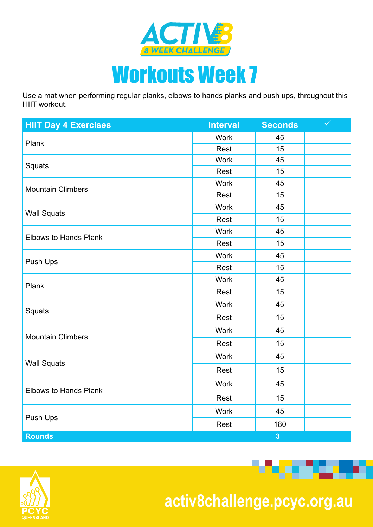

## Workouts Week 7

Use a mat when performing regular planks, elbows to hands planks and push ups, throughout this HIIT workout.

| <b>HIIT Day 4 Exercises</b>                                                                                                               | <b>Interval</b>                                                                                                    | <b>Seconds</b>                                                                                                             | $\checkmark$ |
|-------------------------------------------------------------------------------------------------------------------------------------------|--------------------------------------------------------------------------------------------------------------------|----------------------------------------------------------------------------------------------------------------------------|--------------|
| Plank                                                                                                                                     | <b>Work</b>                                                                                                        | 45                                                                                                                         |              |
|                                                                                                                                           | Rest                                                                                                               | 15<br>45<br>15<br>45<br>15<br>45<br>15<br>45<br>15<br>45<br>15<br>45<br>15<br>45<br>15<br>45<br>15<br>45<br>15<br>45<br>15 |              |
| Squats                                                                                                                                    | <b>Work</b>                                                                                                        |                                                                                                                            |              |
|                                                                                                                                           | Rest                                                                                                               |                                                                                                                            |              |
|                                                                                                                                           | <b>Work</b>                                                                                                        |                                                                                                                            |              |
|                                                                                                                                           | Rest                                                                                                               |                                                                                                                            |              |
|                                                                                                                                           | <b>Work</b>                                                                                                        |                                                                                                                            |              |
|                                                                                                                                           | Rest                                                                                                               |                                                                                                                            |              |
| <b>Mountain Climbers</b><br><b>Wall Squats</b><br><b>Elbows to Hands Plank</b><br>Push Ups<br>Plank<br>Squats<br><b>Mountain Climbers</b> | <b>Work</b>                                                                                                        |                                                                                                                            |              |
|                                                                                                                                           | Rest                                                                                                               |                                                                                                                            |              |
|                                                                                                                                           | <b>Work</b>                                                                                                        |                                                                                                                            |              |
|                                                                                                                                           | Rest                                                                                                               |                                                                                                                            |              |
|                                                                                                                                           | <b>Work</b>                                                                                                        |                                                                                                                            |              |
|                                                                                                                                           | Rest                                                                                                               |                                                                                                                            |              |
|                                                                                                                                           | <b>Work</b>                                                                                                        |                                                                                                                            |              |
|                                                                                                                                           | Rest<br><b>Work</b><br>Rest<br><b>Work</b><br>Rest<br><b>Work</b><br>Rest<br><b>Work</b><br>Rest<br>$\overline{3}$ |                                                                                                                            |              |
|                                                                                                                                           |                                                                                                                    |                                                                                                                            |              |
|                                                                                                                                           | 45<br>180                                                                                                          |                                                                                                                            |              |
|                                                                                                                                           |                                                                                                                    |                                                                                                                            |              |
| <b>Wall Squats</b>                                                                                                                        |                                                                                                                    |                                                                                                                            |              |
|                                                                                                                                           |                                                                                                                    |                                                                                                                            |              |
| <b>Elbows to Hands Plank</b>                                                                                                              |                                                                                                                    |                                                                                                                            |              |
|                                                                                                                                           |                                                                                                                    |                                                                                                                            |              |
| Push Ups                                                                                                                                  |                                                                                                                    |                                                                                                                            |              |
| <b>Rounds</b>                                                                                                                             |                                                                                                                    |                                                                                                                            |              |



 **activ8challenge.pcyc.org.au**

*<u> 1999 - 19</u>*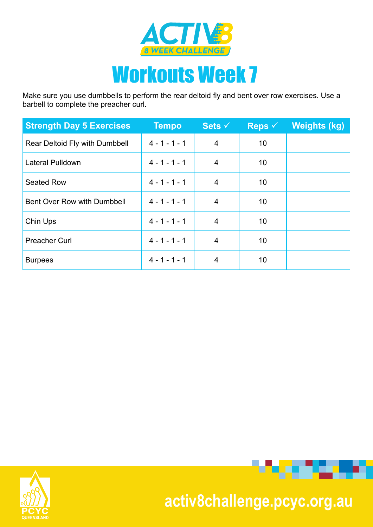

Make sure you use dumbbells to perform the rear deltoid fly and bent over row exercises. Use a barbell to complete the preacher curl.

| <b>Strength Day 5 Exercises</b> | <b>Tempo</b>    | Sets $\checkmark$ | Reps $\checkmark$ | <b>Weights (kg)</b> |
|---------------------------------|-----------------|-------------------|-------------------|---------------------|
| Rear Deltoid Fly with Dumbbell  | $4 - 1 - 1 - 1$ | $\overline{4}$    | 10                |                     |
| <b>Lateral Pulldown</b>         | $4 - 1 - 1 - 1$ | 4                 | 10                |                     |
| <b>Seated Row</b>               | $4 - 1 - 1 - 1$ | 4                 | 10                |                     |
| Bent Over Row with Dumbbell     | $4 - 1 - 1 - 1$ | $\overline{4}$    | 10                |                     |
| Chin Ups                        | $4 - 1 - 1 - 1$ | $\overline{4}$    | 10                |                     |
| <b>Preacher Curl</b>            | $4 - 1 - 1 - 1$ | 4                 | 10                |                     |
| <b>Burpees</b>                  | $4 - 1 - 1 - 1$ | 4                 | 10                |                     |





## **activ8challenge.pcyc.org.au**